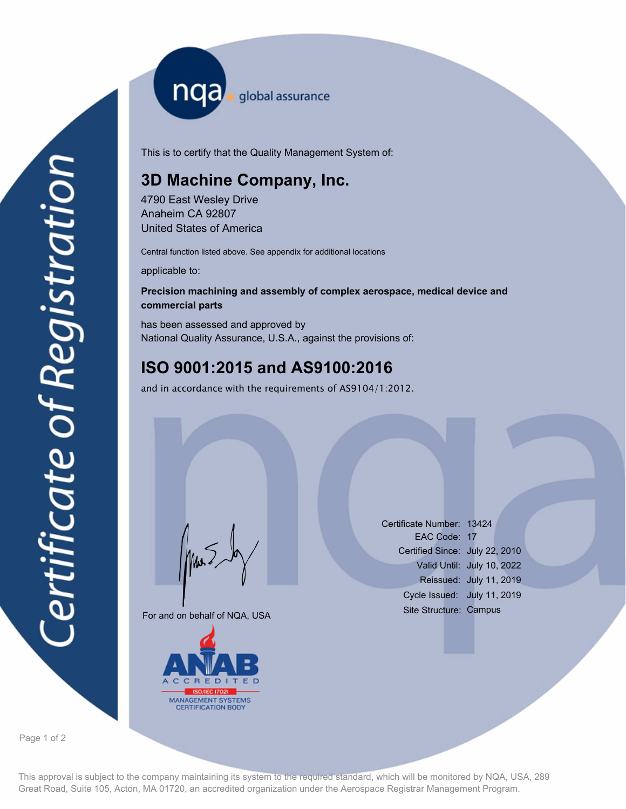nqa <sub>global</sub> assurance

This is to certify that the Quality Management System of:

## **3D Machine Company, Inc.**

4790 East Wesley Drive Anaheim CA 92807 United States of America

Central function listed above. See appendix for additional locations

applicable to:

## **Precision machining and assembly of complex aerospace, medical device and commercial parts**

has been assessed and approved by National Quality Assurance, U.S.A., against the provisions of:

## **ISO 9001:2015 and AS9100:2016**

and in accordance with the requirements of AS9104/1:2012.

For and on behalf of NQA, USA

Mus



Certificate Number: 13424 EAC Code: 17 Certified Since: July 22, 2010 Valid Until: July 10, 2022 Reissued: July 11, 2019 Cycle Issued: July 11, 2019 Site Structure: Campus

Page 1 of 2

This approval is subject to the company maintaining its system to the required standard, which will be monitored by NQA, USA, 289 Great Road, Suite 105, Acton, MA 01720, an accredited organization under the Aerospace Registrar Management Program.